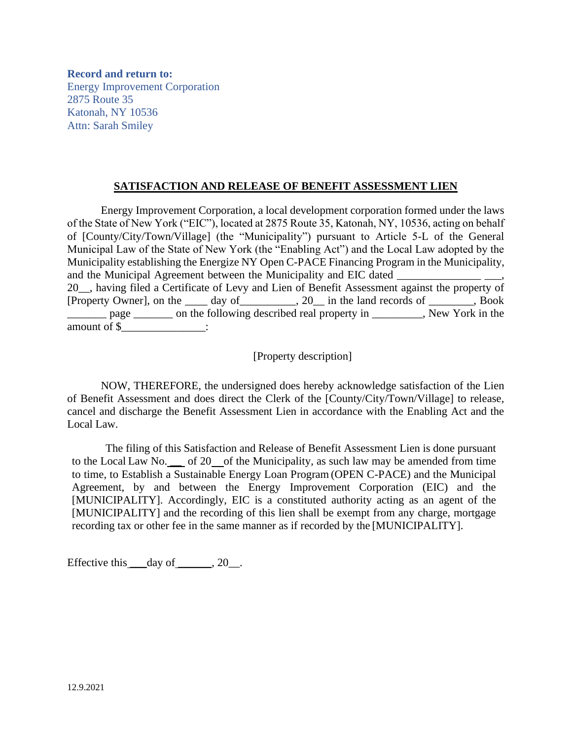**Record and return to:** Energy Improvement Corporation 2875 Route 35 Katonah, NY 10536 Attn: Sarah Smiley

## **SATISFACTION AND RELEASE OF BENEFIT ASSESSMENT LIEN**

Energy Improvement Corporation, a local development corporation formed under the laws of the State of New York ("EIC"), located at 2875 Route 35, Katonah, NY, 10536, acting on behalf of [County/City/Town/Village] (the "Municipality") pursuant to Article 5-L of the General Municipal Law of the State of New York (the "Enabling Act") and the Local Law adopted by the Municipality establishing the Energize NY Open C-PACE Financing Program in the Municipality, and the Municipal Agreement between the Municipality and EIC dated 20\_\_, having filed a Certificate of Levy and Lien of Benefit Assessment against the property of [Property Owner], on the \_\_\_\_ day of\_\_\_\_\_\_\_\_\_\_, 20\_\_ in the land records of \_\_\_\_\_\_\_\_, Book page on the following described real property in The New York in the amount of \$\_\_\_\_\_\_\_\_\_\_\_\_\_\_\_:

[Property description]

NOW, THEREFORE, the undersigned does hereby acknowledge satisfaction of the Lien of Benefit Assessment and does direct the Clerk of the [County/City/Town/Village] to release, cancel and discharge the Benefit Assessment Lien in accordance with the Enabling Act and the Local Law.

The filing of this Satisfaction and Release of Benefit Assessment Lien is done pursuant to the Local Law No.  $\frac{1}{\sqrt{2}}$  of 20 of the Municipality, as such law may be amended from time to time, to Establish a Sustainable Energy Loan Program (OPEN C-PACE) and the Municipal Agreement, by and between the Energy Improvement Corporation (EIC) and the [MUNICIPALITY]. Accordingly, EIC is a constituted authority acting as an agent of the [MUNICIPALITY] and the recording of this lien shall be exempt from any charge, mortgage recording tax or other fee in the same manner as if recorded by the [MUNICIPALITY].

Effective this  $\_\_day\$  of  $\_\_$ , 20 $\_\_$ .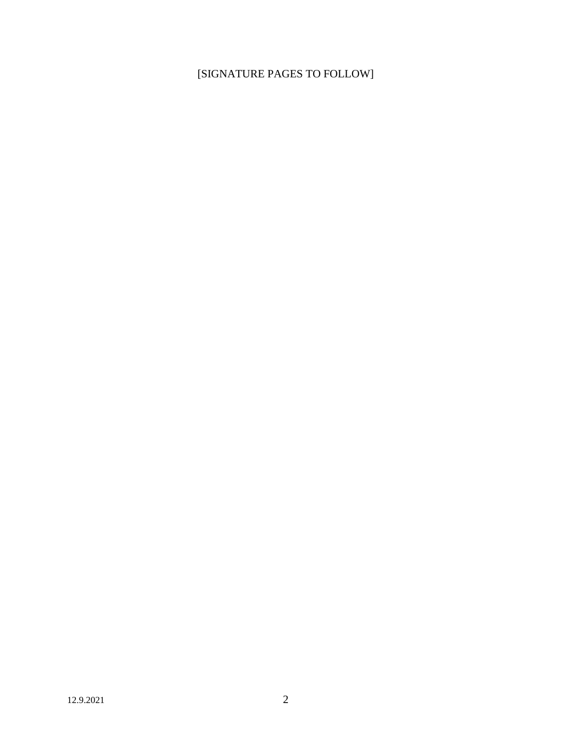## [SIGNATURE PAGES TO FOLLOW]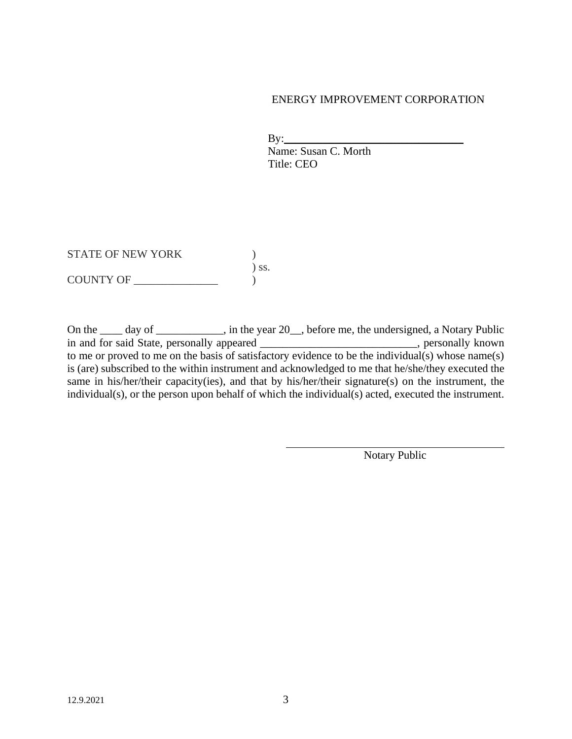## ENERGY IMPROVEMENT CORPORATION

 $\mathbf{By:}\qquad\qquad$  Name: Susan C. Morth Title: CEO

STATE OF NEW YORK  $($ ) ss. COUNTY OF \_\_\_\_\_\_\_\_\_\_\_\_\_\_\_ )

On the \_\_\_\_ day of \_\_\_\_\_\_\_\_\_, in the year 20\_, before me, the undersigned, a Notary Public in and for said State, personally appeared \_\_\_\_\_\_\_\_\_\_\_\_\_\_\_\_\_\_\_\_\_\_\_\_\_\_\_\_\_, personally known to me or proved to me on the basis of satisfactory evidence to be the individual(s) whose name(s) is (are) subscribed to the within instrument and acknowledged to me that he/she/they executed the same in his/her/their capacity(ies), and that by his/her/their signature(s) on the instrument, the individual(s), or the person upon behalf of which the individual(s) acted, executed the instrument.

Notary Public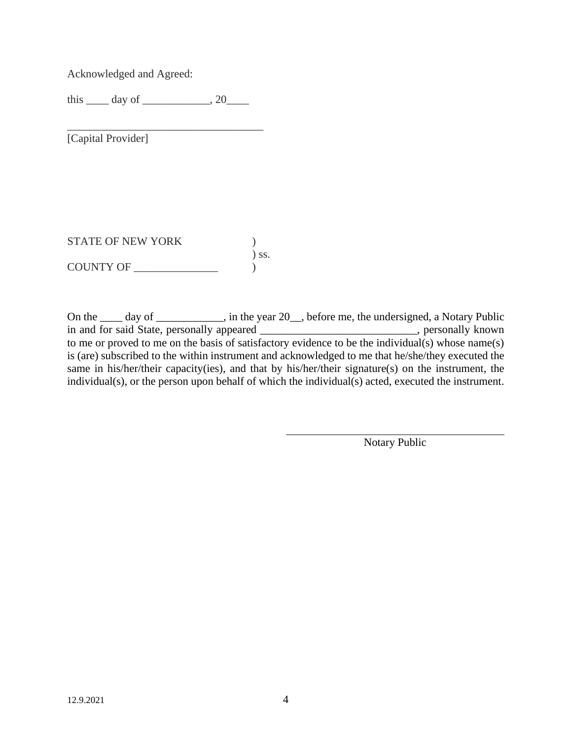Acknowledged and Agreed:

this  $\rule{1em}{0.15mm}$  day of  $\rule{1em}{0.15mm}$ , 20 $\rule{1em}{0.15mm}$ 

\_\_\_\_\_\_\_\_\_\_\_\_\_\_\_\_\_\_\_\_\_\_\_\_\_\_\_\_\_\_\_\_\_\_\_

[Capital Provider]

STATE OF NEW YORK  $)$ ) ss.  $\begin{array}{c}\n\text{COUNTY OF}\n\end{array}$ 

On the \_\_\_\_ day of \_\_\_\_\_\_\_\_\_, in the year 20\_, before me, the undersigned, a Notary Public in and for said State, personally appeared \_\_\_\_\_\_\_\_\_\_\_\_\_\_\_\_\_\_\_\_\_\_\_\_\_\_\_\_, personally known to me or proved to me on the basis of satisfactory evidence to be the individual(s) whose name(s) is (are) subscribed to the within instrument and acknowledged to me that he/she/they executed the same in his/her/their capacity(ies), and that by his/her/their signature(s) on the instrument, the individual(s), or the person upon behalf of which the individual(s) acted, executed the instrument.

Notary Public